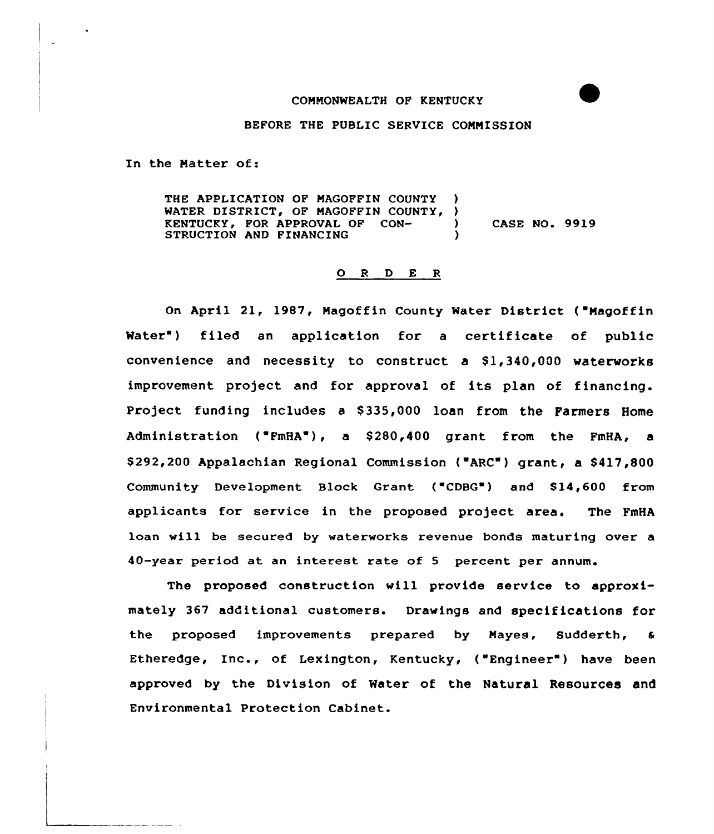### COMMONWEALTH OF KENTUCKY

#### BEFORE THE PUBLIC SERVICE COMMISSION

In the Matter of:

THE APPLICATION OF MAGOFFIN COUNTY WATER DISTRICT, OF MAGOFFIN COUNTY, )<br>KENTUCKY, FOR APPROVAL OF CON-KENTUCKY, FOR APPROVAL OF CON- ) CASE NO. 9919 STRUCTION AND FINANCING

#### 0 <sup>R</sup> <sup>D</sup> E <sup>R</sup>

On April 21, 1987, Magoffin County Water District ("Magoffin Water") filed an application for a certificate of public convenience and necessity to construct a  $$1,340,000$  waterworks improvement project and for approval of its plan of financing. Project funding includes a \$335,000 loan from the Farmers Home Administration ("FmHA"), a \$280,400 grant from the FmHA, a \$292,200 Appalachian Regional Commission ("ARC") grant, a \$417,800 Community Development Block Grant ("CDBG") and \$14,600 from applicants for service in the proposed project area. The FmHA loan will be secured by waterworks revenue bonds maturing over a 40-year period at an interest rate of <sup>5</sup> percent per annum.

The proposed construction will provide service to approximately 367 additional customers. Drawings and specifications for the proposed improvements prepared by Mayes, Sudderth, a Etheredge, Inc., of Lexington, Kentucky, ("Engineer") have been approved by the Division of Water of the Natural Resources and Environmental Protection Cabinet.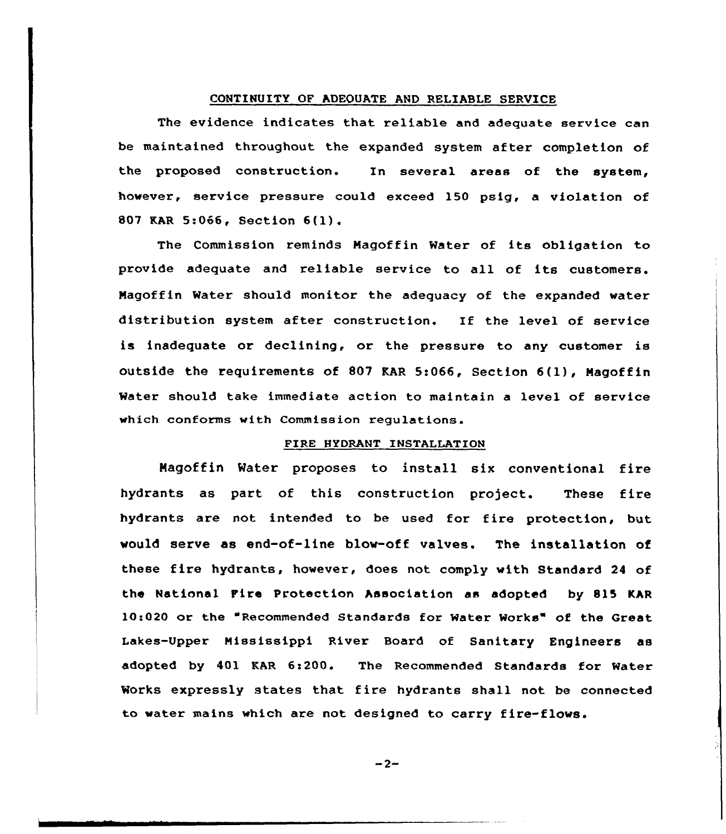# CONTINUITY OF ADEQUATE AND RELIABLE SERUICE

The evidence indicates that reliable and adequate service can be maintained throughout the expanded system after completion of the proposed construction. In several areas of the system, however, service pressure could exceed 150 psig, a violation of <sup>807</sup> KAR 5:066, Section 6(l).

The Commission reminds Hagoffin Water of its obligation to provide adequate and reliable service to all of its customers. Nagoffin Water should monitor the adequacy of the expanded water distribution system after construction. If the level of service is inadequate or declining, or the pressure to any customer is outside the requirements of <sup>807</sup> KAR 5:066, Section 6(l), Nagoffin Water should take immediate action to maintain a level of service which conforms with Commission regulations.

### FIRE HYDRANT INSTALLATION

Nagoffin Water proposes to install six conventional fire hydrants as part of this construction project. These fire hydrants are not intended to be used for fire protection, but would serve as end-of-line blow-off valves. The installation of these fire hydrants, however, does not comply with Standard <sup>24</sup> of the National Fire protection Association as adopted by 815 KAR 10c020 or the "Recommended Standards for Water Works" of the Great Lakes-Upper Mississippi River Board of Sanitary Engineers as adopted by 401 KAR 6:200. The Recommended Standards for Water Works expressly states that fire hydrants shall not be connected to water mains which are not designed to carry fire-flows.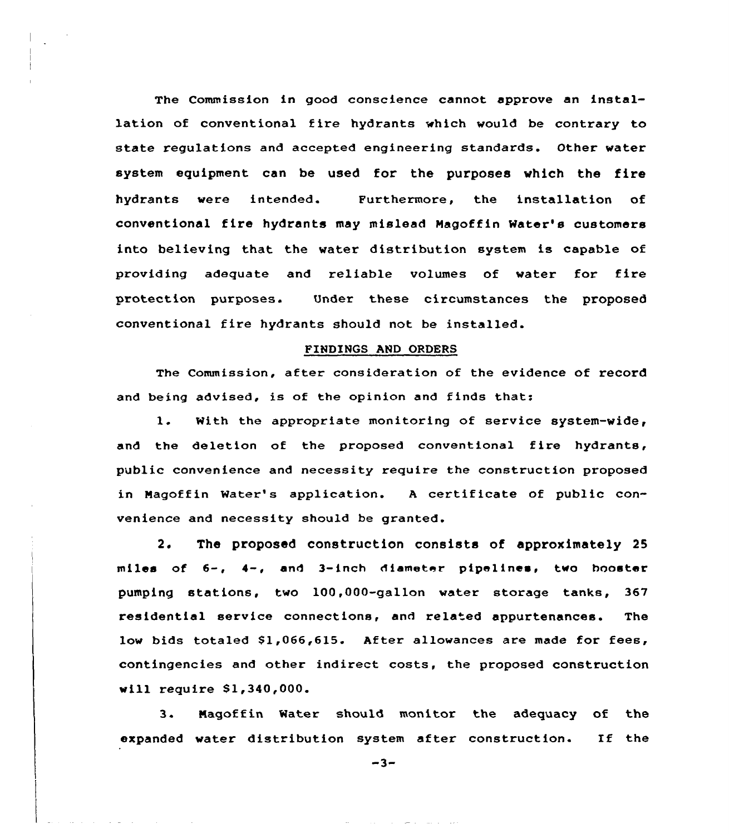The Commission in good conscience cannot approve an installation of conventional Eire hydrants which would be contrary to state regulations and accepted engineering standards. Other water system equipment can be used for the purposes which the fire hydrants were intended. Furthermore, the installation of conventional fire hydrants may mislead Hagoffin Mater's customers into believing that the water distribution system is capable of providing adequate and reliable volumes of water for fire protection purposes. Under these circumstances the proposed conventional fire hydrants should not be installed.

#### FINDINGS AND ORDERS

The Commission, after consideration of the evidence of record and being advised, is of the opinion and finds that:

1. Mith the appropriate monitoring of service system-wide, and the deletion of the proposed conventional fire hydrants, public convenience and necessity require the construction proposed in Magoffin Water's application. <sup>A</sup> certificate of public convenience and necessity should be granted.

2. The proposed construction consists of approximately 25 miles of 6-, 4-, and 3-inch diameter pipelines, two booster pumping stations, two lOD,OOO-gallon water storage tanks, 367 residential service connections, and related appurtenances. The low bids totaled \$1,066,615. After allowances are made for fees, contingencies and other indirect costs, the proposed construction will require Sl,340,000.

3. Nagoffin Mater should monitor the adequacy of the expanded water distribution system after construction. If the

 $-3-$ 

the company and the company of the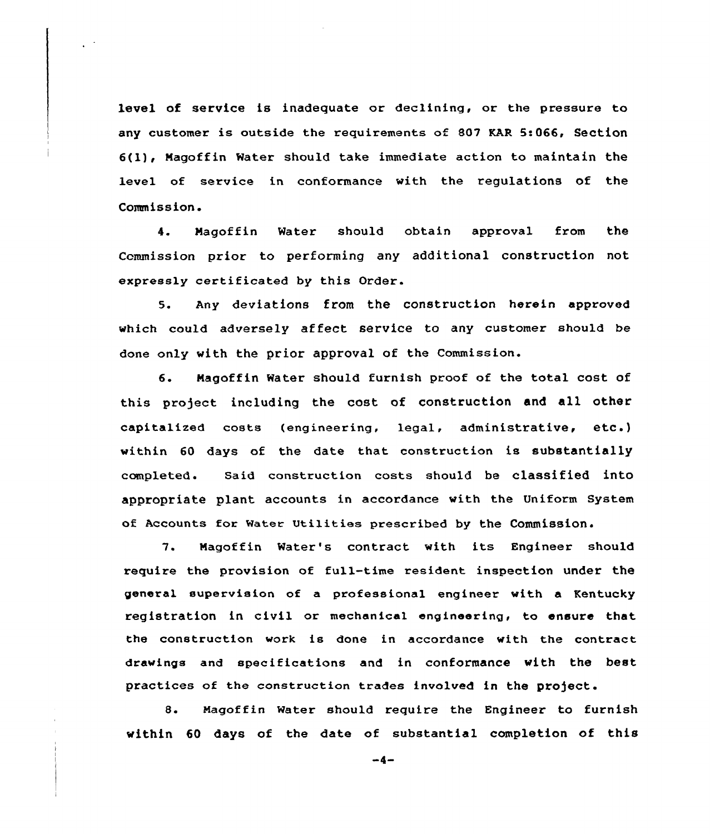level of service is inadequate or declining, or the pressure to any customer is outside the requirements of 807 KAR 5:066, Section 6(l), Nagoffin Water should take immediate action to maintain the level of service in conformance with the regulations of the Commission.

4. Magoffin Water should obtain approval from the Commission priox to performing any additional construction not expressly certificated by this Order.

5. Any deviations from the construction herein approved which could adversely affect service to any customer should be done only with the prior approval of the Commission. et pr

6. Hagoffin Water should furnish proof of the total cost, of this project including the cost of construction and all other  $\texttt{capitalized} \hspace{2mm} \texttt{costs} \hspace{2mm} (\texttt{engineering,} \hspace{2mm} \texttt{legal,} \hspace{2mm} \texttt{administrative,} \hspace{2mm} \texttt{etc.})$ within 60 days of the date that construction is substantially completed. Said construction costs should be classified into appropriate plant accounts in accoxdance with the Uniform System of Accounts fcr Water Utilities prescribed by the Commission.

7. Nagoffin Water's contract with its Engineer should require the provision of fu11-time resident inspection under the general supervision of a professional engineer with a Kentucky registration in civil or mechanical engineering, to ensure that the construction work is done in accordance with the contract drawings and specifications and in conformance with the best practices of the construction trades involved in the project.

8. Hagoffin Water should require the Engineer to furnish within 60 days of the date of substantial completion of this

 $-4-$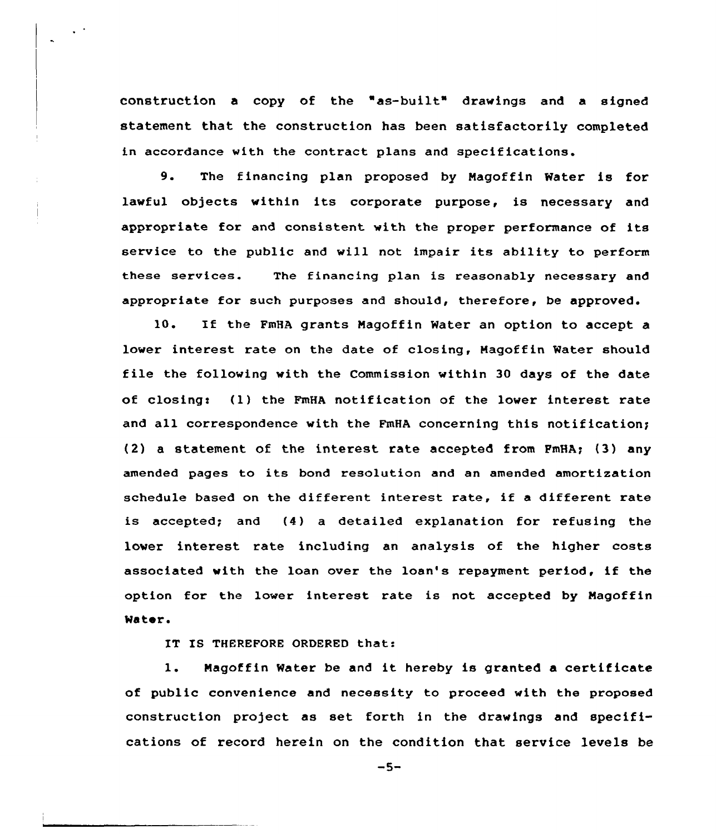construction <sup>a</sup> copy of the "as-built" drawings and a signed statement that the construction has been satisfactorily completed in accordance with the contract plans and specifications.

9. The financing plan proposed by Nagoffin Water is for lawful objects within its corporate purpose, is necessary and appropriate for and consistent with the proper performance of its service to the public and vill not impair its ability to perform these services. The financing plan is reasonably necessary and appropriate for such purposes and should, therefore, be approved.

10. If the FmHA grants Magoffin Water an option to accept lower interest rate on the date of closing, Magoffin Water should file the following with the Commission within <sup>30</sup> days of the date of closing:  $(1)$  the FmHA notification of the lower interest rate and all correspondence with the FmHA concerning this notification; (2) a statement of the interest rate accepted from FmHA; (3) any amended pages to its bond resolution and an amended amortization schedule based on the different interest rate, if <sup>a</sup> different rate is accepted; and (4} a detailed explanation for refusing the lower interest rate including an analysis of the higher costs associated with the loan over the loan's repayment period, if the option for the lower interest rate is not accepted by Nagoffin Water.

IT IS THEREFORE ORDERED that:

1. Magoffin Water be and it hereby is granted a certificate of public convenience and necessity to proceed with the proposed construction project as set forth in the drawings and specifications of record herein on the condition that service levels be

 $-5-$